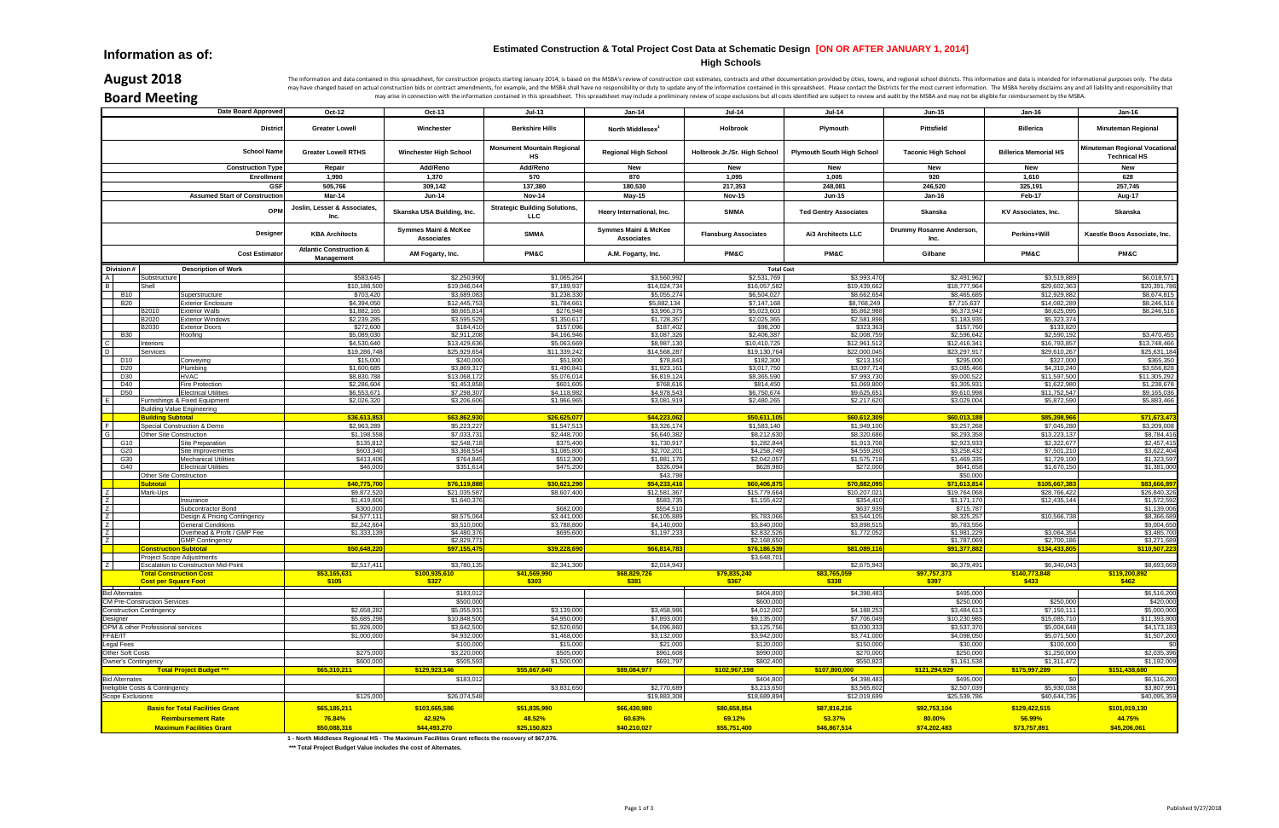|                         | Date Board Approved                                           | Oct-12                                           | Oct-13                             | $Jul-13$                                     | Jan-14                                    | <b>Jul-14</b>                | <b>Jul-14</b>                     | <b>Jun-15</b>                    | <b>Jan-16</b>                 | $Jan-16$                                             |
|-------------------------|---------------------------------------------------------------|--------------------------------------------------|------------------------------------|----------------------------------------------|-------------------------------------------|------------------------------|-----------------------------------|----------------------------------|-------------------------------|------------------------------------------------------|
| <b>District</b>         |                                                               | <b>Greater Lowell</b>                            | Winchester                         | <b>Berkshire Hills</b>                       | North Middlesex <sup>1</sup>              | Holbrook                     | Plymouth                          | Pittsfield                       | <b>Billerica</b>              | <b>Minuteman Regional</b>                            |
|                         | <b>School Name</b>                                            | <b>Greater Lowell RTHS</b>                       | <b>Winchester High School</b>      | <b>Monument Mountain Regional</b><br>НS      | <b>Regional High School</b>               | Holbrook Jr./Sr. High School | <b>Plymouth South High School</b> | <b>Taconic High School</b>       | <b>Billerica Memorial HS</b>  | Minuteman Regional Vocational<br><b>Technical HS</b> |
|                         | <b>Construction Type</b>                                      | Repair                                           | Add/Reno                           | Add/Reno                                     | New                                       | New                          | New                               | New                              | New                           | <b>New</b>                                           |
|                         | Enrollmen                                                     | 1,990                                            | 1,370                              | 570                                          | 870                                       | 1,095                        | 1,005                             | 920                              | 1,610                         | 628                                                  |
|                         | <b>GSF</b>                                                    | 505,766                                          | 309,142                            | 137,380                                      | 180,530                                   | 217,353                      | 248,081                           | 246,520                          | 325,191                       | 257,745                                              |
|                         | <b>Assumed Start of Construction</b>                          | Mar-14                                           | <b>Jun-14</b>                      | <b>Nov-14</b>                                | May-15                                    | <b>Nov-15</b>                | <b>Jun-15</b>                     | <b>Jan-16</b>                    | Feb-17                        | Aug-17                                               |
| OPM                     |                                                               | Joslin, Lesser & Associates,<br>Inc.             | Skanska USA Building, Inc.         | <b>Strategic Building Solutions,</b><br>LLC. | Heery International, Inc.                 | <b>SMMA</b>                  | <b>Ted Gentry Associates</b>      | Skanska                          | KV Associates, Inc.           | Skanska                                              |
| Designe                 |                                                               | <b>KBA Architects</b>                            | Symmes Maini & McKee<br>Associates | <b>SMMA</b>                                  | Symmes Maini & McKee<br><b>Associates</b> | <b>Flansburg Associates</b>  | Ai3 Architects LLC                | Drummy Rosanne Anderson,<br>Inc. | Perkins+Will                  | Kaestle Boos Associate, Inc.                         |
|                         | <b>Cost Estimato</b>                                          | <b>Atlantic Construction &amp;</b><br>Management | AM Fogarty, Inc.                   | <b>PM&amp;C</b>                              | A.M. Fogarty, Inc.                        | <b>PM&amp;C</b>              | PM&C                              | Gilbane                          | <b>PM&amp;C</b>               | <b>PM&amp;C</b>                                      |
| Division #              | <b>Description of Work</b>                                    |                                                  |                                    |                                              |                                           | <b>Total Cost</b>            |                                   |                                  |                               |                                                      |
|                         | Substructure                                                  | \$583,645                                        | \$2,250,990                        | \$1,065,264                                  | \$3,560,992                               | \$2,531,769                  | \$3,993,470                       | \$2,491,962                      | \$3,519,889                   | \$6,018,571                                          |
| <b>B10</b>              | Shell<br>Superstructure                                       | \$10,186,500<br>\$703,420                        | \$19,046,044<br>\$3,689,083        | \$7,189,937<br>\$1,238,330                   | \$14,024,73<br>\$5,055,27                 | \$16,057,582<br>\$6,504,027  | \$19,439,662<br>\$8,662,654       | \$18,777,964<br>\$8,465,685      | \$29,602,363<br>\$12,929,882  | \$20,391,786<br>\$8,674,815                          |
| <b>B20</b>              | <b>Exterior Enclosure</b>                                     | \$4,394,050                                      | \$12,445,753                       | \$1,784,661                                  | \$5,882,134                               | \$7,147,168                  | \$8,768,249                       | \$7,715,637                      | \$14,082,289                  | \$8,246,516                                          |
|                         | B2010<br><b>Exterior Walls</b>                                | \$1,882,165                                      | \$8,665,814                        | \$276,948                                    | \$3,966,37                                | \$5,023,603                  | \$5,862,988                       | \$6,373,942                      | \$8,625,095                   | \$8,246,516                                          |
|                         | B2020<br><b>Exterior Windows</b>                              | \$2,239,285                                      | \$3,595,529                        | \$1,350,617                                  | \$1,728,35                                | \$2,025,365                  | \$2,581,89                        | \$1,183,935                      | \$5,323,374                   |                                                      |
|                         | B2030<br><b>Exterior Doors</b>                                | \$272,600                                        | \$184,410                          | \$157,096                                    | \$187,40                                  | \$98,200                     | \$323,36                          | \$157,760                        | \$133,820                     |                                                      |
| <b>B30</b>              | Roofing<br>nteriors                                           | \$5,089,030<br>\$4,530,640                       | \$2,911,208<br>\$13,429,636        | \$4,166,946<br>\$5,063,669                   | \$3,087,32<br>\$8,987,13                  | \$2,406,387<br>\$10,410,725  | \$2,008,759<br>\$12,961,512       | \$2,596,642<br>\$12,416,341      | \$2,590,192<br>\$16,793,857   | \$3,470,455<br>\$13,748,466                          |
|                         | Services                                                      | \$19,286,748                                     | \$25,929,654                       | \$11,339,242                                 | \$14,568,28                               | \$19,130,764                 | \$22,000,045                      | \$23,297,917                     | \$29,610,267                  | \$25,631,184                                         |
| D <sub>10</sub>         | Conveying                                                     | \$15,000                                         | \$240,000                          | \$51,800                                     | \$78,843                                  | \$182,300                    | \$213,150                         | \$295,000                        | \$327,000                     | \$365,350                                            |
| D <sub>20</sub>         | Plumbing                                                      | \$1,600,685                                      | \$3,869,317                        | \$1,490,841                                  | \$1,923,16                                | \$3,017,750                  | \$3,097,714                       | \$3,085,466                      | \$4,310,240                   | \$3,556,828                                          |
| D30                     | HVAC                                                          | \$8,830,788                                      | \$13,068,172                       | \$5,076,014                                  | \$6,819,12                                | \$8,365,590                  | \$7,993,73                        | \$9,000,522                      | \$11,597,500                  | \$11,305,292                                         |
| D40                     | Fire Protection                                               | \$2,286,604                                      | \$1,453,858                        | \$601,605                                    | \$768,6                                   | \$814,450                    | \$1,069,800                       | \$1,305,931                      | \$1,622,980                   | \$1,238,678                                          |
| D <sub>50</sub>         | <b>Electrical Utilities</b>                                   | \$6,553,671                                      | \$7,298,307                        | \$4,118,982                                  | \$4,978,54                                | \$6,750,674                  | \$9,625,65                        | \$9,610,998                      | \$11,752,547                  | \$9,165,036                                          |
|                         | Furnishings & Fixed Equipment                                 | \$2,026,320                                      | \$3,206,606                        | \$1,966,965                                  | \$3,081,91                                | \$2,480,265                  | \$2,217,620                       | \$3,029,004                      | \$5,872,590                   | \$5,883,466                                          |
|                         | <b>Building Value Engineering</b><br><b>Building Subtotal</b> | \$36,613,853                                     | \$63,862,930                       | \$26,625,077                                 | \$44,223,06                               | \$50,611,105                 | \$60,612,309                      | \$60,013,188                     | \$85,398,966                  | \$71,673,473                                         |
|                         | Special Construction & Demo                                   | \$2,963,289                                      | \$5,223,227                        | \$1,547,513                                  | \$3,326,174                               | \$1,583,140                  | \$1,949,100                       | \$3,257,268                      | \$7,045,280                   | \$3,209,008                                          |
|                         | Other Site Construction                                       | \$1,198,558                                      | \$7,033,731                        | \$2,448,700                                  | \$6,640,38                                | \$8,212,630                  | \$8,320,686                       | \$8,293,358                      | \$13,223,137                  | \$8,784,416                                          |
| G10                     | Site Preparation                                              | \$135,812                                        | \$2,548,718                        | \$375,400                                    | \$1,730,917                               | \$1,282,844                  | \$1,913,708                       | \$2,923,933                      | \$2,322,677                   | \$2,457,415                                          |
| G20                     | Site Improvements                                             | \$603,340                                        | \$3,368,554                        | \$1,085,800                                  | \$2,702,20                                | \$4,258,749                  | \$4,559,260                       | \$3,258,432                      | \$7,501,210                   | \$3,622,404                                          |
| G30                     | <b>Mechanical Utilities</b>                                   | \$413,406                                        | \$764,845                          | \$512,300                                    | \$1,881,17                                | \$2,042,057                  | \$1,575,718                       | \$1,469,335                      | \$1,729,100                   | \$1,323,597                                          |
| G40                     | <b>Electrical Utilities</b>                                   | \$46,000                                         | \$351,614                          | \$475,200                                    | \$326,094                                 | \$628,980                    | \$272,000                         | \$641,658                        | \$1,670,150                   | \$1,381,000                                          |
|                         | Other Site Construction<br><b>Subtotal</b>                    |                                                  |                                    |                                              | \$43,79<br>\$54,233,41                    |                              |                                   | \$50,000<br>\$71,613,814         |                               | \$83,666,897                                         |
|                         | Mark-Ups                                                      | \$40,775,70<br>\$9,872,520                       | \$76,119,888<br>\$21,035,587       | \$30,621,290<br>\$8,607,400                  | \$12,581,36                               | \$60,406,87<br>\$15,779,664  | \$70,882,095<br>\$10,207,021      | \$19,764,068                     | \$105,667,383<br>\$28,766,422 | \$26,840,326                                         |
|                         | Insurance                                                     | \$1,419,606                                      | \$1,640,376                        |                                              | \$583,73                                  | \$1,155,422                  | \$354,410                         | \$1,171,170                      | \$12,435,144                  | \$1,572,592                                          |
| Z I                     | Subcontractor Bond                                            | \$300,000                                        |                                    | \$682,000                                    | \$554,51                                  |                              | \$637,939                         | \$715,787                        |                               | \$1,139,006                                          |
|                         | Design & Pricing Contingency                                  | \$4,577,111                                      | \$8,575,064                        | \$3,441,000                                  | \$6,105,88                                | \$5,783,066                  | \$3,544,105                       | \$8,325,257                      | \$10,566,738                  | \$8,366,689                                          |
| Z I                     | <b>General Conditions</b>                                     | \$2,242,664                                      | \$3,510,000                        | \$3,788,800                                  | \$4,140,00                                | \$3,840,000                  | \$3,898,515                       | \$5,783,556                      |                               | \$9,004,650                                          |
| Z                       | Overhead & Profit / GMP Fee                                   | \$1,333,13                                       | \$4,480,376                        | \$695,600                                    | \$1,197,233                               | \$2,832,526                  | \$1,772,052                       | \$1,981,229                      | \$3,064,354                   | \$3,485,700                                          |
| <b>7</b>                | <b>GMP Contingency</b><br><b>Construction Subtotal</b>        | \$50,648,220                                     | \$2,829,771<br>\$97,155,475        | \$39,228,690                                 | \$66,814,78                               | \$2,168,650<br>\$76,186,53   | \$81,089,116                      | \$1,787,069<br>\$91,377,882      | \$2,700,186<br>\$134,433,805  | \$3,271,689<br>\$110,507,223                         |
|                         | <b>Project Scope Adjustments</b>                              |                                                  |                                    |                                              |                                           | \$3,648,701                  |                                   |                                  |                               |                                                      |
|                         | <b>Escalation to Construction Mid-Point</b>                   | \$2,517,411                                      | \$3,780,135                        | \$2,341,300                                  | \$2,014,943                               |                              | \$2,675,943                       | \$6,379,491                      | \$6,340,043                   | \$8,693,669                                          |
|                         | <b>Total Construction Cost</b><br><b>Cost per Square Foot</b> | \$53,165,631<br>\$105                            | \$100,935,610<br>\$327             | <u>\$41,569,990</u><br>\$303                 | \$68,829,726<br>\$381                     | \$79,835,240<br>\$367        | \$83,765,059<br>\$338             | <b>\$97,757,373</b><br>\$397     | \$140,773,848<br>\$433        | \$119,200,892<br>\$462                               |
| <b>Bid Alternates</b>   |                                                               |                                                  | \$183,012                          |                                              |                                           | \$404,800                    | \$4,398,483                       | \$495,000                        |                               | \$6,516,200                                          |
|                         | <b>CM Pre-Construction Services</b>                           |                                                  | \$500,000                          |                                              |                                           | \$600,000                    |                                   | \$250,000                        | \$250,000                     | \$420,000                                            |
|                         | <b>Construction Contingency</b>                               | \$2,658,282                                      | \$5,055,931                        | \$3,139,000                                  | \$3,458,98                                | \$4,012,002                  | \$4,188,253                       | \$3,484,613                      | \$7,150,111                   | \$5,000,000                                          |
| Designer                |                                                               | \$5,685,298                                      | \$10,848,500                       | \$4,950,000                                  | \$7,893,000                               | \$9,135,000                  | \$7,706,049                       | \$10,230,985                     | \$15,085,710                  | \$11,393,800                                         |
|                         | OPM & other Professional services                             | \$1,926,000                                      | \$3,642,500                        | \$2,520,650                                  | \$4,096,860                               | \$3,125,756                  | \$3,030,333                       | \$3,537,370                      | \$5,004,648                   | \$4,173,183                                          |
| FF&E/IT                 |                                                               | \$1,000,000                                      | \$4,932,000                        | \$1,468,000                                  | \$3,132,000                               | \$3,942,000                  | \$3,741,000                       | \$4,098,050                      | \$5,071,500                   | \$1,507,200                                          |
| Legal Fees              |                                                               |                                                  | \$100,000                          | \$15,000                                     | \$21,000                                  | \$120,000                    | \$150,000                         | \$30,000                         | \$100,000                     | \$0                                                  |
| Other Soft Costs        |                                                               | \$275,000                                        | \$3,220,000                        | \$505,000                                    | \$961,608                                 | \$990,000                    | \$270,000                         | \$250,000                        | \$1,250,000                   | \$2,035,396                                          |
|                         | Owner's Contingency<br><b>Total Project Budget ***</b>        | \$600,000<br>\$65,310,211                        | \$505,593<br>\$129,923,146         | \$1,500,000<br>\$55,667,640                  | \$691,797<br>\$89,084,977                 | \$802,400<br>\$102,967,198   | \$550,823<br>\$107,800,000        | \$1,161,538<br>\$121,294,929     | \$1,311,472<br>\$175,997,289  | \$1,192,009<br>\$151,438,680                         |
| <b>Bid Alternates</b>   |                                                               |                                                  | \$183,012                          |                                              |                                           | \$404,800                    | \$4,398,483                       | \$495,000                        | \$0                           | \$6,516,200                                          |
|                         | Ineligible Costs & Contingency                                |                                                  |                                    | \$3,831,650                                  | \$2,770,689                               | \$3,213,650                  | \$3,565,602                       | \$2,507,039                      | \$5,930,038                   | \$3,807,991                                          |
| <b>Scope Exclusions</b> |                                                               | \$125,000                                        | \$26,074,548                       |                                              | \$19,883,308                              | \$18,689,894                 | \$12,019,699                      | \$25,539,786                     | \$40,644,736                  | \$40,095,359                                         |
|                         | <b>Basis for Total Facilities Grant</b>                       | \$65,185,211                                     | \$103,665,586                      | \$51,835,990                                 | \$66,430,980                              | \$80,658,854                 | \$87,816,216                      | \$92,753,104                     | \$129,422,515                 | \$101,019,130                                        |
|                         | <b>Reimbursement Rate</b>                                     | 76.84%                                           | 42.92%                             | 48.52%                                       | 60.63%                                    | 69.12%                       | 53.37%                            | 80.00%                           | 56.99%                        | 44.75%                                               |
|                         | <b>Maximum Facilities Grant</b>                               | \$50,088,316                                     | \$44,493,270                       | \$25,150,823                                 | \$40,210,027                              | \$55,751,400                 | \$46,867,514                      | \$74,202,483                     | \$73,757,891                  | \$45,206,061                                         |
|                         |                                                               |                                                  |                                    |                                              |                                           |                              |                                   |                                  |                               |                                                      |

**1 - North Middlesex Regional HS - The Maximum Facilities Grant reflects the recovery of \$67,076.** 

 **\*\*\* Total Project Budget Value includes the cost of Alternates.**

**High Schools**

## **Information as of:**

# **August 2018**

# **Board Meeting**

The information and data contained in this spreadsheet, for construction projects starting January 2014, is based on the MSBA's review of construction cost estimates, contracts and other documentation provided by cities, t may have changed based on actual construction bids or contract amendments, for example, and the MSBA shall have no responsibility or duty to update any of the information contained in this spreadsheet. Please contact the D may arise in connection with the information contained in this spreadsheet. This spreadsheet may include a preliminary review of scope exclusions but all costs identified are subject to review and audit by the MSBA and may

### **Estimated Construction & Total Project Cost Data at Schematic Design [ON OR AFTER JANUARY 1, 2014]**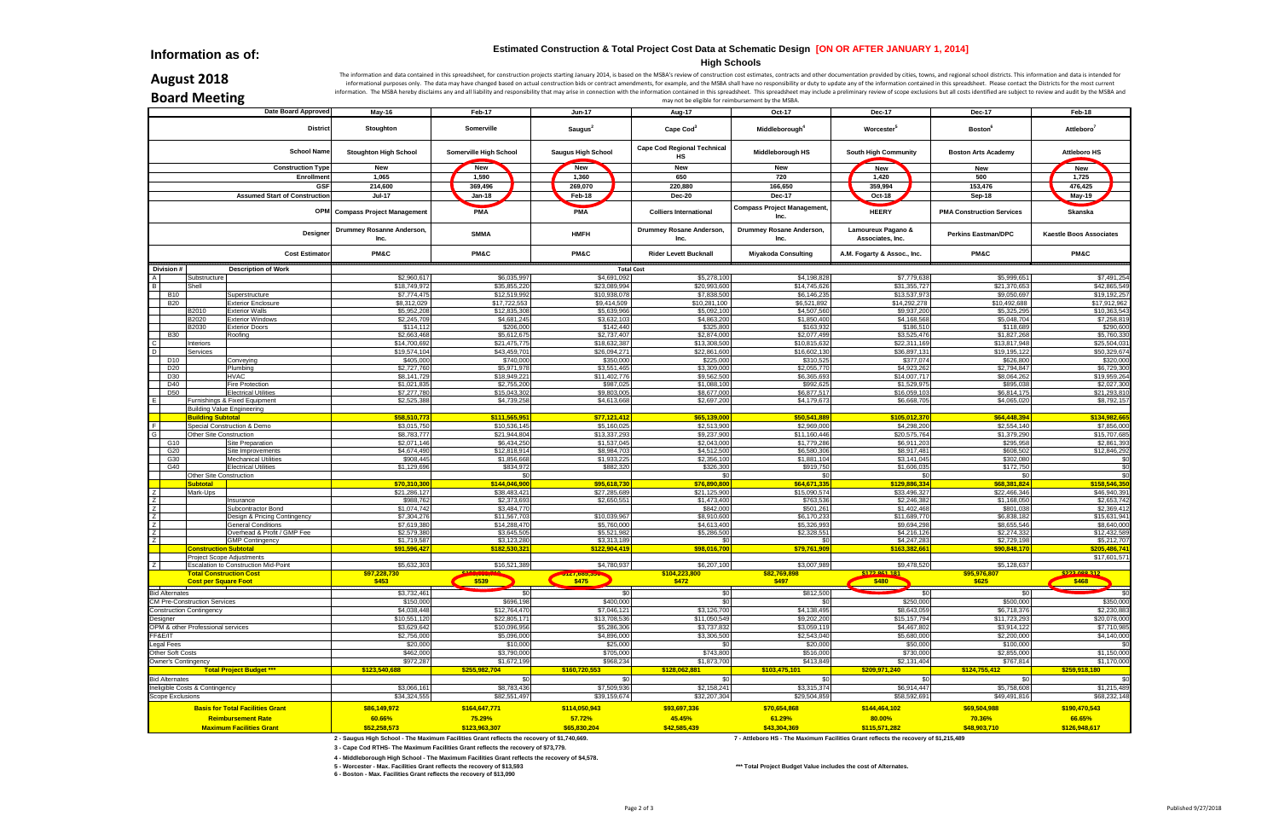**Information as of:**

## **August 2018**

The information and data contained in this spreadsheet, for construction projects starting January 2014, is based on the MSBA's review of construction cost estimates, contracts and other documentation provided by cities, t informational purposes only. The data may have changed based on actual construction bids or contract amendments, for example, and the MSBA shall have no responsibility or duty to update any of the information contained in information. The MSBA hereby disclaims any and all liability and responsibility that may arise in connection with the information contained in this spreadsheet. This spreadsheet may include a preliminary review of scope ex

**Board Meeting**

|                            | <b>DUATU IVICELIIIK</b>             |                                                  |                                                                                             |                                                                                                                                                                                                                |                              |                                    | may not be eligible for reimbursement by the MSBA.                                   |                                        |                                  |                                |
|----------------------------|-------------------------------------|--------------------------------------------------|---------------------------------------------------------------------------------------------|----------------------------------------------------------------------------------------------------------------------------------------------------------------------------------------------------------------|------------------------------|------------------------------------|--------------------------------------------------------------------------------------|----------------------------------------|----------------------------------|--------------------------------|
|                            |                                     | <b>Date Board Approved</b>                       | May-16                                                                                      | Feb-17                                                                                                                                                                                                         | <b>Jun-17</b>                | Aug-17                             | Oct-17                                                                               | <b>Dec-17</b>                          | <b>Dec-17</b>                    | Feb-18                         |
|                            |                                     | <b>District</b>                                  | Stoughton                                                                                   | Somerville                                                                                                                                                                                                     | Saugus <sup>2</sup>          | Cape Cod <sup>3</sup>              | Middleborough <sup>4</sup>                                                           | Worcester <sup>5</sup>                 | <b>Boston</b> <sup>6</sup>       | Attleboro <sup>7</sup>         |
|                            |                                     | <b>School Name</b>                               | <b>Stoughton High School</b>                                                                | Somerville High School                                                                                                                                                                                         | <b>Saugus High School</b>    | <b>Cape Cod Regional Technical</b> | Middleborough HS                                                                     | <b>South High Community</b>            | <b>Boston Arts Academy</b>       | <b>Attleboro HS</b>            |
|                            |                                     | <b>Construction Type</b>                         | New                                                                                         | New                                                                                                                                                                                                            | New                          | <b>New</b>                         | New                                                                                  | New                                    | New                              | <b>New</b>                     |
|                            |                                     | Enrollmen                                        | 1,065                                                                                       | 1,590                                                                                                                                                                                                          | 1,360                        | 650                                | 720                                                                                  | 1,420                                  | 500                              | 1,725                          |
|                            |                                     | GSF                                              | 214,600                                                                                     | 369,496                                                                                                                                                                                                        | 269,070                      | 220,880                            | 166,650                                                                              | 359,994                                | 153,476                          | 476,425                        |
|                            |                                     | <b>Assumed Start of Construction</b>             | <b>Jul-17</b>                                                                               | <b>Jan-18</b>                                                                                                                                                                                                  | Feb-18                       | <b>Dec-20</b>                      | <b>Dec-17</b>                                                                        | Oct-18                                 | Sep-18                           | May-19                         |
|                            |                                     |                                                  | <b>OPM</b> Compass Project Management                                                       | <b>PMA</b>                                                                                                                                                                                                     | <b>PMA</b>                   | <b>Colliers International</b>      | <b>Compass Project Management,</b>                                                   | <b>HEERY</b>                           | <b>PMA Construction Services</b> | Skanska                        |
|                            |                                     | Designer                                         | Drummey Rosanne Anderson,<br>Inc.                                                           | <b>SMMA</b>                                                                                                                                                                                                    | <b>HMFH</b>                  | Drummey Rosane Anderson,<br>Inc.   | Drummey Rosane Anderson,<br>Inc.                                                     | Lamoureux Pagano &<br>Associates, Inc. | <b>Perkins Eastman/DPC</b>       | <b>Kaestle Boos Associates</b> |
|                            |                                     | <b>Cost Estimator</b>                            | <b>PM&amp;C</b>                                                                             | <b>PM&amp;C</b>                                                                                                                                                                                                | <b>PM&amp;C</b>              | <b>Rider Levett Bucknall</b>       | <b>Miyakoda Consulting</b>                                                           | A.M. Fogarty & Assoc., Inc.            | <b>PM&amp;C</b>                  | <b>PM&amp;C</b>                |
| Division #                 |                                     | <b>Description of Work</b>                       |                                                                                             |                                                                                                                                                                                                                |                              | <b>Total Cost</b>                  |                                                                                      |                                        |                                  |                                |
|                            | Substructure                        |                                                  | \$2,960,61                                                                                  | \$6,035,997                                                                                                                                                                                                    | \$4,691,092                  | \$5,278,100                        | \$4,198,828                                                                          | \$7,779,638                            | \$5,999,651                      | \$7,491,254                    |
|                            | Shell                               |                                                  | \$18,749,97                                                                                 | \$35,855,220                                                                                                                                                                                                   | \$23,089,994                 | \$20,993,600                       | \$14,745,626                                                                         | \$31,355,72                            | \$21,370,653                     | \$42,865,549                   |
| <b>B10</b>                 |                                     | Superstructure                                   | \$7,774,47                                                                                  | \$12,519,992                                                                                                                                                                                                   | \$10,938,078                 | \$7,838,500                        | \$6,146,235                                                                          | \$13,537,97                            | \$9,050,697                      | \$19,192,257                   |
| <b>B20</b>                 |                                     | <b>Exterior Enclosure</b>                        | \$8,312,029                                                                                 | \$17,722,553                                                                                                                                                                                                   | \$9,414,509                  | \$10,281,100                       | \$6,521,892                                                                          | \$14,292,278                           | \$10,492,688                     | \$17,912,962                   |
|                            | B2010<br>B2020                      | <b>Exterior Walls</b><br><b>Exterior Windows</b> | \$5,952,20<br>\$2,245,70                                                                    | \$12,835,308<br>\$4,681,245                                                                                                                                                                                    | \$5,639,966<br>\$3,632,103   | \$5,092,100<br>\$4,863,200         | \$4,507,560<br>\$1,850,400                                                           | \$9,937,20<br>\$4,168,56               | \$5,325,295<br>\$5,048,704       | \$10,363,543<br>\$7,258,819    |
|                            | B2030                               | <b>Exterior Doors</b>                            | \$114,11                                                                                    | \$206,000                                                                                                                                                                                                      | \$142,440                    | \$325,800                          | \$163,932                                                                            | \$186,51                               | \$118,689                        | \$290,600                      |
| <b>B30</b>                 |                                     | Roofing                                          | \$2,663,46                                                                                  | \$5,612,675                                                                                                                                                                                                    | \$2,737,407                  | \$2,874,000                        | \$2,077,499                                                                          | \$3,525,47                             | \$1,827,268                      | \$5,760,330                    |
|                            | Interiors                           |                                                  | \$14,700,69                                                                                 | \$21,475,775                                                                                                                                                                                                   | \$18,632,387                 | \$13,308,500                       | \$10,815,632                                                                         | \$22,311,16                            | \$13,817,948                     | \$25,504,031                   |
|                            | Services                            |                                                  | \$19,574,10                                                                                 | \$43,459,701                                                                                                                                                                                                   | \$26,094,271                 | \$22,861,600                       | \$16,602,130                                                                         | \$36,897,13                            | \$19,195,122                     | \$50,329,674                   |
| D <sub>10</sub>            |                                     | Conveying                                        | \$405,00                                                                                    | \$740,000                                                                                                                                                                                                      | \$350,000                    | \$225,000                          | \$310,525                                                                            | \$377,074                              | \$626,800                        | \$320,000                      |
| D <sub>20</sub>            |                                     | Plumbing                                         | \$2,727,76                                                                                  | \$5,971,978                                                                                                                                                                                                    | \$3,551,465                  | \$3,309,000                        | \$2,055,770                                                                          | \$4,923,26                             | \$2,794,847                      | \$6,729,300                    |
| D30                        |                                     | <b>HVAC</b>                                      | \$8,141,72                                                                                  | \$18,949,221                                                                                                                                                                                                   | \$11,402,776                 | \$9,562,500                        | \$6,365,693                                                                          | \$14,007,717                           | \$8,064,262                      | \$19,959,264                   |
| D40                        |                                     | <b>Fire Protection</b>                           | \$1,021,83                                                                                  | \$2,755,200                                                                                                                                                                                                    | \$987,025                    | \$1,088,100                        | \$992,625                                                                            | \$1,529,97                             | \$895,038                        | \$2,027,300                    |
| <b>D50</b>                 |                                     | <b>Electrical Utilities</b>                      | \$7,277,78                                                                                  | \$15,043,302                                                                                                                                                                                                   | \$9,803,005                  | \$8,677,000                        | \$6,877,517                                                                          | \$16,059,10                            | \$6,814,175                      | \$21,293,810                   |
|                            |                                     | Furnishings & Fixed Equipment                    | \$2,525,38                                                                                  | \$4,739,258                                                                                                                                                                                                    | \$4,613,668                  | \$2,697,200                        | \$4,179,673                                                                          | \$6,668,70                             | \$4,065,020                      | \$8,792,157                    |
|                            | <b>Building Value Engineering</b>   |                                                  |                                                                                             |                                                                                                                                                                                                                |                              |                                    |                                                                                      |                                        |                                  |                                |
|                            | <b>Building Subtotal</b>            |                                                  | \$58,510,77                                                                                 | \$111,565,951                                                                                                                                                                                                  | \$77,121,412                 | \$65,139,000                       | \$50,541,889                                                                         | \$105,012,37                           | \$64,448,394                     | \$134,982,665                  |
|                            |                                     | Special Construction & Demo                      | \$3,015,75                                                                                  | \$10,536,145                                                                                                                                                                                                   | \$5,160,025                  | \$2,513,900                        | \$2,969,000                                                                          | \$4,298,20                             | \$2,554,140                      | \$7,856,000                    |
|                            | Other Site Construction             |                                                  | \$8,783,77                                                                                  | \$21,944,804                                                                                                                                                                                                   | \$13,337,293                 | \$9,237,900                        | \$11,160,446                                                                         | \$20,575,764                           | \$1,379,290                      | \$15,707,685                   |
| G10<br>G20                 |                                     | Site Preparation                                 | \$2,071,146<br>\$4,674,49                                                                   | \$6,434,250<br>\$12,818,914                                                                                                                                                                                    | \$1,537,045<br>\$8,984,703   | \$2,043,000<br>\$4,512,500         | \$1,779,286<br>\$6,580,306                                                           | \$6,911,20<br>\$8,917,48               | \$295,958<br>\$608,502           | \$2,861,393<br>\$12,846,292    |
| G30                        |                                     | Site Improvements<br><b>Mechanical Utilities</b> | \$908,44                                                                                    | \$1,856,668                                                                                                                                                                                                    | \$1,933,225                  | \$2,356,100                        | \$1,881,104                                                                          | \$3,141,045                            | \$302,080                        | \$0                            |
| G40                        |                                     | <b>Electrical Utilities</b>                      | \$1,129,69                                                                                  | \$834,972                                                                                                                                                                                                      | \$882,320                    | \$326,300                          | \$919,750                                                                            | \$1,606,03                             | \$172,750                        | \$0                            |
|                            | Other Site Construction             |                                                  |                                                                                             |                                                                                                                                                                                                                | \$0                          | \$0                                | \$0                                                                                  |                                        | \$0                              | \$0                            |
|                            | <b>Subtotal</b>                     |                                                  | \$70,310,30                                                                                 | \$144,046,900                                                                                                                                                                                                  | \$95,618,730                 | \$76,890,800                       | \$64,671,335                                                                         | \$129,886,334                          | \$68,381,824                     | \$158,546,350                  |
|                            | Mark-Ups                            |                                                  | \$21,286,127                                                                                | \$38,483,421                                                                                                                                                                                                   | \$27,285,689                 | \$21,125,900                       | \$15,090,574                                                                         | \$33,496,327                           | \$22,466,346                     | \$46,940,391                   |
|                            |                                     | Insurance                                        | \$988,76                                                                                    | \$2,373,693                                                                                                                                                                                                    | \$2,650,551                  | \$1,473,400                        | \$763,536                                                                            | \$2,246,38                             | \$1,168,050                      | \$2,653,742                    |
|                            |                                     | Subcontractor Bond                               | \$1,074,742                                                                                 | \$3,484,770                                                                                                                                                                                                    |                              | \$842,000                          | \$501,261                                                                            | \$1,402,46                             | \$801,038                        | \$2,369,412                    |
|                            |                                     | Design & Pricing Contingency                     | \$7,304,27                                                                                  | \$11,567,703                                                                                                                                                                                                   | \$10,039,967                 | \$8,910,600                        | \$6,170,233                                                                          | \$11,689,77                            | \$6,838,182                      | \$15,631,941                   |
|                            |                                     | <b>General Conditions</b>                        | \$7,619,38                                                                                  | \$14,288,470                                                                                                                                                                                                   | \$5,760,000                  | \$4,613,400                        | \$5,326,993                                                                          | \$9,694,29                             | \$8,655,546                      | \$8,640,000                    |
|                            |                                     | Overhead & Profit / GMP Fee                      | \$2,579,38                                                                                  | \$3,645,505                                                                                                                                                                                                    | \$5,521,982                  | \$5,286,500                        | \$2,328,551                                                                          | \$4,216,12                             | \$2,274,332                      | \$12,432,589                   |
|                            | <b>Construction Subtotal</b>        | <b>GMP Contingency</b>                           | \$1,719,58<br>\$91,596,42                                                                   | \$3,123,280<br>\$182,530,321                                                                                                                                                                                   | \$3,313,189<br>\$122,904,419 | \$98,016,700                       | \$79,761,909                                                                         | \$4,247,28<br>\$163,382,66             | \$2,729,198<br>\$90,848,17       | \$5,212,707<br>\$205,486,741   |
|                            | <b>Project Scope Adjustments</b>    |                                                  |                                                                                             |                                                                                                                                                                                                                |                              |                                    |                                                                                      |                                        |                                  | \$17,601,571                   |
|                            |                                     | Escalation to Construction Mid-Point             | \$5,632,303                                                                                 | \$16,521,389                                                                                                                                                                                                   | \$4,780,937                  | \$6,207,100                        | \$3,007,989                                                                          | \$9,478,520                            | \$5,128,637                      |                                |
|                            | <b>Total Construction Cost</b>      |                                                  | \$97,228,730                                                                                | <b><i><u>PERMIT IN THE STATE OF THE STATE OF THE STATE OF THE STATE OF THE STATE OF THE STATE OF THE STATE OF THE STATE OF THE STATE OF THE STATE OF THE STATE OF THE STATE OF THE STATE OF THE ST</u></i></b> |                              | \$104,223,800                      | \$82,769,898                                                                         | \$172.964.181                          | \$95,976,807                     | \$222,000.212                  |
|                            | <b>Cost per Square Foot</b>         |                                                  | \$453                                                                                       | \$539                                                                                                                                                                                                          | 9127,685,350                 | \$472                              | \$497                                                                                | \$480                                  | \$625                            | \$468                          |
| <b>Bid Alternates</b>      |                                     |                                                  | \$3,732,461                                                                                 |                                                                                                                                                                                                                |                              | \$0                                | \$812,500                                                                            |                                        |                                  | \$0                            |
|                            | <b>CM Pre-Construction Services</b> |                                                  | \$150,000                                                                                   | \$696,198                                                                                                                                                                                                      | \$400,000                    | \$0                                | \$0                                                                                  | \$250,000                              | \$500,000                        | \$350,000                      |
|                            | <b>Construction Contingency</b>     |                                                  | \$4,038,448                                                                                 | \$12,764,470                                                                                                                                                                                                   | \$7,046,121                  | \$3,126,700                        | \$4,138,495                                                                          | \$8,643,059                            | \$6,718,376                      | \$2,230,883                    |
| Designer                   |                                     |                                                  | \$10,551,12                                                                                 | \$22,805,171                                                                                                                                                                                                   | \$13,708,536                 | \$11,050,549                       | \$9,202,200                                                                          | \$15,157,794                           | \$11,723,293                     | \$20,078,000                   |
|                            | OPM & other Professional services   |                                                  | \$3,629,642                                                                                 | \$10,096,956                                                                                                                                                                                                   | \$5,286,306                  | \$3,737,832                        | \$3,059,119                                                                          | \$4,467,802                            | \$3,914,122                      | \$7,710,985                    |
| FF&E/IT                    |                                     |                                                  | \$2,756,000                                                                                 | \$5,096,000                                                                                                                                                                                                    | \$4,896,000                  | \$3,306,500                        | \$2,543,040                                                                          | \$5,680,000                            | \$2,200,000                      | \$4,140,000                    |
| Legal Fees                 |                                     |                                                  | \$20,000                                                                                    | \$10,000                                                                                                                                                                                                       | \$25,000                     | \$0                                | \$20,000                                                                             | \$50,000                               | \$100,000                        | \$0                            |
| Other Soft Costs           |                                     |                                                  | \$462,000                                                                                   | \$3,790,000                                                                                                                                                                                                    | \$705,000                    | \$743,800                          | \$516,000                                                                            | \$730,000                              | \$2,855,000                      | \$1,150,000                    |
| <b>Owner's Contingency</b> |                                     |                                                  | \$972,287                                                                                   | \$1,672,199                                                                                                                                                                                                    | \$968,234                    | \$1,873,700                        | \$413,849                                                                            | \$2,131,404                            | \$767,814                        | \$1,170,000                    |
|                            |                                     | <b>Total Project Budget ***</b>                  | \$123,540,688                                                                               | \$255,982,704                                                                                                                                                                                                  | \$160,720,553                | \$128,062,881                      | \$103,475,101                                                                        | \$209,971,240                          | \$124,755,412                    | \$259,918,180                  |
| <b>Bid Alternates</b>      |                                     |                                                  |                                                                                             |                                                                                                                                                                                                                | \$0l<br>\$0                  | \$0                                | \$0                                                                                  | -\$0                                   | \$0                              | \$0                            |
|                            | neligible Costs & Contingency       |                                                  | \$3,066,161                                                                                 | \$8,783,436                                                                                                                                                                                                    | \$7,509,936                  | \$2,158,241                        | \$3,315,374                                                                          | \$6.914.447                            | \$5,758,608                      | \$1,215,489                    |
| <b>Scope Exclusions</b>    |                                     |                                                  | \$34,324,555                                                                                | \$82,551,497                                                                                                                                                                                                   | \$39,159,674                 | \$32,207,304                       | \$29,504,859                                                                         | \$58,592,691                           | \$49,491,816                     | \$68,232,148                   |
|                            |                                     | <b>Basis for Total Facilities Grant</b>          | \$86,149,972                                                                                | \$164,647,771                                                                                                                                                                                                  | \$114,050,943                | \$93,697,336                       | \$70,654,868                                                                         | \$144,464,102                          | \$69,504,988                     | \$190,470,543                  |
|                            |                                     | <b>Reimbursement Rate</b>                        | 60.66%                                                                                      | 75.29%                                                                                                                                                                                                         | 57.72%                       | 45.45%                             | 61.29%                                                                               | 80.00%                                 | 70.36%                           | 66.65%                         |
|                            |                                     | <b>Maximum Facilities Grant</b>                  | \$52,258,573                                                                                | \$123,963,307                                                                                                                                                                                                  | \$65,830,204                 | \$42,585,439                       | \$43,304,369                                                                         | \$115,571,282                          | \$48,903,710                     | \$126,948,617                  |
|                            |                                     |                                                  |                                                                                             |                                                                                                                                                                                                                |                              |                                    |                                                                                      |                                        |                                  |                                |
|                            |                                     |                                                  | 2 - Saugus High School - The Maximum Facilities Grant reflects the recovery of \$1,740,669. |                                                                                                                                                                                                                |                              |                                    | 7 - Attleboro HS - The Maximum Facilities Grant reflects the recovery of \$1,215,489 |                                        |                                  |                                |

**3 - Cape Cod RTHS- The Maximum Facilities Grant reflects the recovery of \$73,779.** 

**4 - Middleborough High School - The Maximum Facilities Grant reflects the recovery of \$4,578.** 

**5 - Worcester - Max. Facilities Grant reflects the recovery of \$13,593 \*\*\* Total Project Budget Value includes the cost of Alternates.**

**6 - Boston - Max. Facilities Grant reflects the recovery of \$13,090**

### **Estimated Construction & Total Project Cost Data at Schematic Design [ON OR AFTER JANUARY 1, 2014]**

**High Schools**